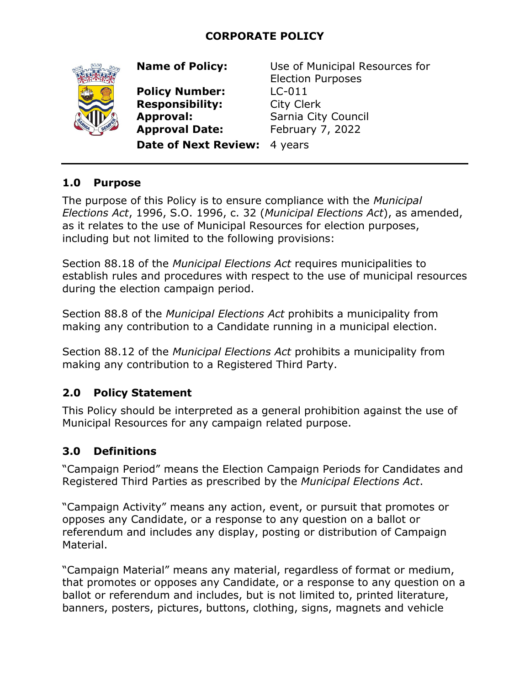## **CORPORATE POLICY**



**Policy Number:** LC-011 **Responsibility:** City Clerk **Approval:** Sarnia City Council **Approval Date:** February 7, 2022

**Name of Policy:** Use of Municipal Resources for Election Purposes

**Date of Next Review:** 4 years

#### **1.0 Purpose**

The purpose of this Policy is to ensure compliance with the *Municipal Elections Act*, 1996, S.O. 1996, c. 32 (*Municipal Elections Act*), as amended, as it relates to the use of Municipal Resources for election purposes, including but not limited to the following provisions:

Section 88.18 of the *Municipal Elections Act* requires municipalities to establish rules and procedures with respect to the use of municipal resources during the election campaign period.

Section 88.8 of the *Municipal Elections Act* prohibits a municipality from making any contribution to a Candidate running in a municipal election.

Section 88.12 of the *Municipal Elections Act* prohibits a municipality from making any contribution to a Registered Third Party.

#### **2.0 Policy Statement**

This Policy should be interpreted as a general prohibition against the use of Municipal Resources for any campaign related purpose.

#### **3.0 Definitions**

"Campaign Period" means the Election Campaign Periods for Candidates and Registered Third Parties as prescribed by the *Municipal Elections Act*.

"Campaign Activity" means any action, event, or pursuit that promotes or opposes any Candidate, or a response to any question on a ballot or referendum and includes any display, posting or distribution of Campaign Material.

"Campaign Material" means any material, regardless of format or medium, that promotes or opposes any Candidate, or a response to any question on a ballot or referendum and includes, but is not limited to, printed literature, banners, posters, pictures, buttons, clothing, signs, magnets and vehicle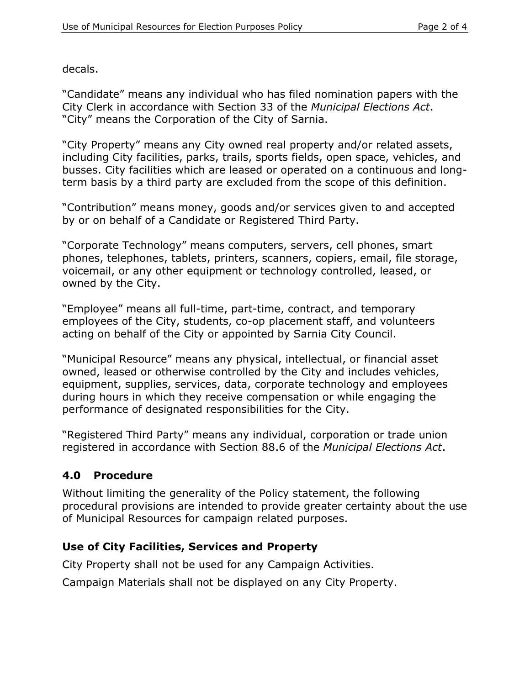decals.

"Candidate" means any individual who has filed nomination papers with the City Clerk in accordance with Section 33 of the *Municipal Elections Act*. "City" means the Corporation of the City of Sarnia.

"City Property" means any City owned real property and/or related assets, including City facilities, parks, trails, sports fields, open space, vehicles, and busses. City facilities which are leased or operated on a continuous and longterm basis by a third party are excluded from the scope of this definition.

"Contribution" means money, goods and/or services given to and accepted by or on behalf of a Candidate or Registered Third Party.

"Corporate Technology" means computers, servers, cell phones, smart phones, telephones, tablets, printers, scanners, copiers, email, file storage, voicemail, or any other equipment or technology controlled, leased, or owned by the City.

"Employee" means all full-time, part-time, contract, and temporary employees of the City, students, co-op placement staff, and volunteers acting on behalf of the City or appointed by Sarnia City Council.

"Municipal Resource" means any physical, intellectual, or financial asset owned, leased or otherwise controlled by the City and includes vehicles, equipment, supplies, services, data, corporate technology and employees during hours in which they receive compensation or while engaging the performance of designated responsibilities for the City.

"Registered Third Party" means any individual, corporation or trade union registered in accordance with Section 88.6 of the *Municipal Elections Act*.

# **4.0 Procedure**

Without limiting the generality of the Policy statement, the following procedural provisions are intended to provide greater certainty about the use of Municipal Resources for campaign related purposes.

#### **Use of City Facilities, Services and Property**

City Property shall not be used for any Campaign Activities.

Campaign Materials shall not be displayed on any City Property.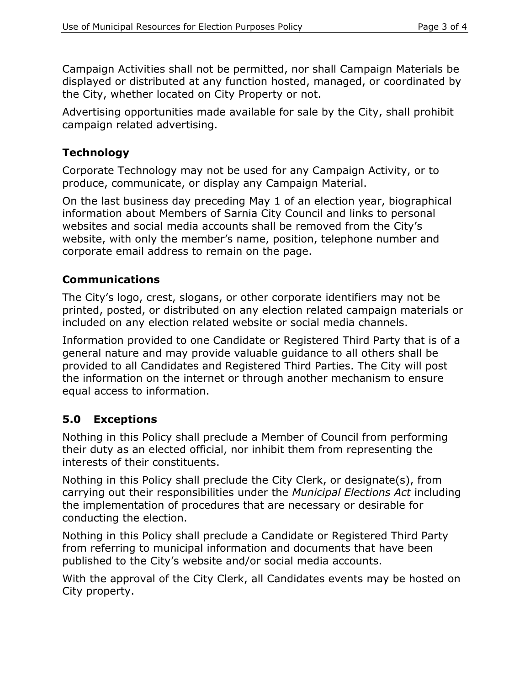Campaign Activities shall not be permitted, nor shall Campaign Materials be displayed or distributed at any function hosted, managed, or coordinated by the City, whether located on City Property or not.

Advertising opportunities made available for sale by the City, shall prohibit campaign related advertising.

#### **Technology**

Corporate Technology may not be used for any Campaign Activity, or to produce, communicate, or display any Campaign Material.

On the last business day preceding May 1 of an election year, biographical information about Members of Sarnia City Council and links to personal websites and social media accounts shall be removed from the City's website, with only the member's name, position, telephone number and corporate email address to remain on the page.

## **Communications**

The City's logo, crest, slogans, or other corporate identifiers may not be printed, posted, or distributed on any election related campaign materials or included on any election related website or social media channels.

Information provided to one Candidate or Registered Third Party that is of a general nature and may provide valuable guidance to all others shall be provided to all Candidates and Registered Third Parties. The City will post the information on the internet or through another mechanism to ensure equal access to information.

# **5.0 Exceptions**

Nothing in this Policy shall preclude a Member of Council from performing their duty as an elected official, nor inhibit them from representing the interests of their constituents.

Nothing in this Policy shall preclude the City Clerk, or designate(s), from carrying out their responsibilities under the *Municipal Elections Act* including the implementation of procedures that are necessary or desirable for conducting the election.

Nothing in this Policy shall preclude a Candidate or Registered Third Party from referring to municipal information and documents that have been published to the City's website and/or social media accounts.

With the approval of the City Clerk, all Candidates events may be hosted on City property.